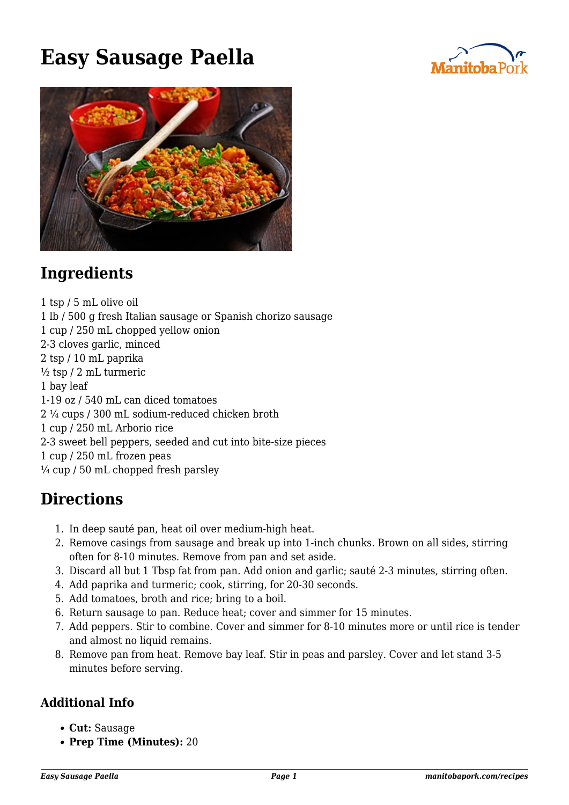## **Easy Sausage Paella**





## **Ingredients**

1 tsp / 5 mL olive oil 1 lb / 500 g fresh Italian sausage or Spanish chorizo sausage 1 cup / 250 mL chopped yellow onion 2-3 cloves garlic, minced 2 tsp / 10 mL paprika  $\frac{1}{2}$  tsp / 2 mL turmeric 1 bay leaf 1-19 oz / 540 mL can diced tomatoes 2 ¼ cups / 300 mL sodium-reduced chicken broth 1 cup / 250 mL Arborio rice 2-3 sweet bell peppers, seeded and cut into bite-size pieces 1 cup / 250 mL frozen peas  $\frac{1}{4}$  cup / 50 mL chopped fresh parsley

## **Directions**

- 1. In deep sauté pan, heat oil over medium-high heat.
- 2. Remove casings from sausage and break up into 1-inch chunks. Brown on all sides, stirring often for 8-10 minutes. Remove from pan and set aside.
- 3. Discard all but 1 Tbsp fat from pan. Add onion and garlic; sauté 2-3 minutes, stirring often.
- 4. Add paprika and turmeric; cook, stirring, for 20-30 seconds.
- 5. Add tomatoes, broth and rice; bring to a boil.
- 6. Return sausage to pan. Reduce heat; cover and simmer for 15 minutes.
- 7. Add peppers. Stir to combine. Cover and simmer for 8-10 minutes more or until rice is tender and almost no liquid remains.
- 8. Remove pan from heat. Remove bay leaf. Stir in peas and parsley. Cover and let stand 3-5 minutes before serving.

## **Additional Info**

- **Cut:** Sausage
- **Prep Time (Minutes):** 20